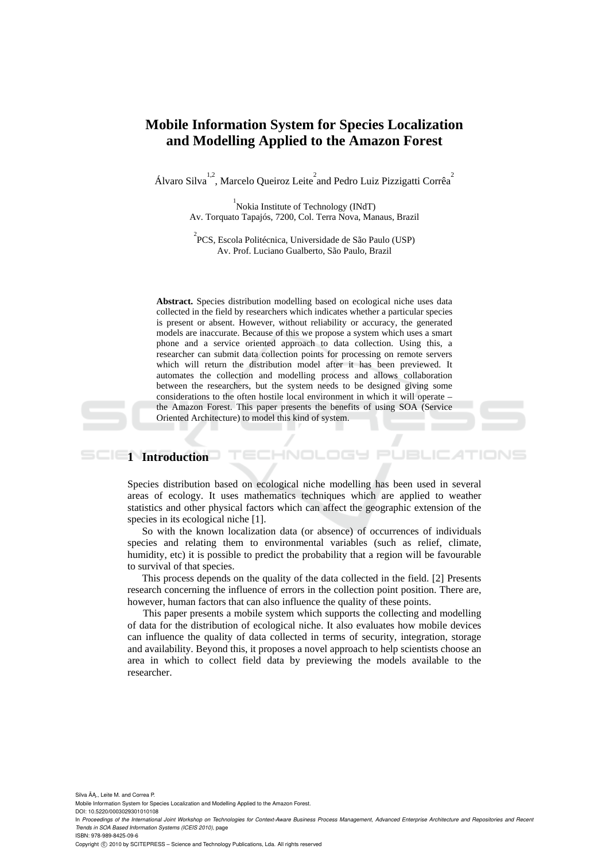# **Mobile Information System for Species Localization and Modelling Applied to the Amazon Forest**

Álvaro Silva<sup>1,2</sup>, Marcelo Queiroz Leite<sup>2</sup> and Pedro Luiz Pizzigatti Corrêa<sup>2</sup>

<sup>1</sup> Nokia Institute of Technology (INdT) Av. Torquato Tapajós, 7200, Col. Terra Nova, Manaus, Brazil

2 PCS, Escola Politécnica, Universidade de São Paulo (USP) Av. Prof. Luciano Gualberto, São Paulo, Brazil

**Abstract.** Species distribution modelling based on ecological niche uses data collected in the field by researchers which indicates whether a particular species is present or absent. However, without reliability or accuracy, the generated models are inaccurate. Because of this we propose a system which uses a smart phone and a service oriented approach to data collection. Using this, a researcher can submit data collection points for processing on remote servers which will return the distribution model after it has been previewed. It automates the collection and modelling process and allows collaboration between the researchers, but the system needs to be designed giving some considerations to the often hostile local environment in which it will operate – the Amazon Forest. This paper presents the benefits of using SOA (Service Oriented Architecture) to model this kind of system.

### **1** Introduction

Species distribution based on ecological niche modelling has been used in several areas of ecology. It uses mathematics techniques which are applied to weather statistics and other physical factors which can affect the geographic extension of the species in its ecological niche [1].

So with the known localization data (or absence) of occurrences of individuals species and relating them to environmental variables (such as relief, climate, humidity, etc) it is possible to predict the probability that a region will be favourable to survival of that species.

This process depends on the quality of the data collected in the field. [2] Presents research concerning the influence of errors in the collection point position. There are, however, human factors that can also influence the quality of these points.

This paper presents a mobile system which supports the collecting and modelling of data for the distribution of ecological niche. It also evaluates how mobile devices can influence the quality of data collected in terms of security, integration, storage and availability. Beyond this, it proposes a novel approach to help scientists choose an area in which to collect field data by previewing the models available to the researcher.

Silva ÂA., Leite M. and Correa P.

Mobile Information System for Species Localization and Modelling Applied to the Amazon Forest. DOI: 10.5220/0003029301010108

In Proceedings of the International Joint Workshop on Technologies for Context-Aware Business Process Management, Advanced Enterprise Architecture and Repositories and Recent *Trends in SOA Based Information Systems (ICEIS 2010)*, page

ISBN: 978-989-8425-09-6

Copyright © 2010 by SCITEPRESS - Science and Technology Publications, Lda. All rights reserved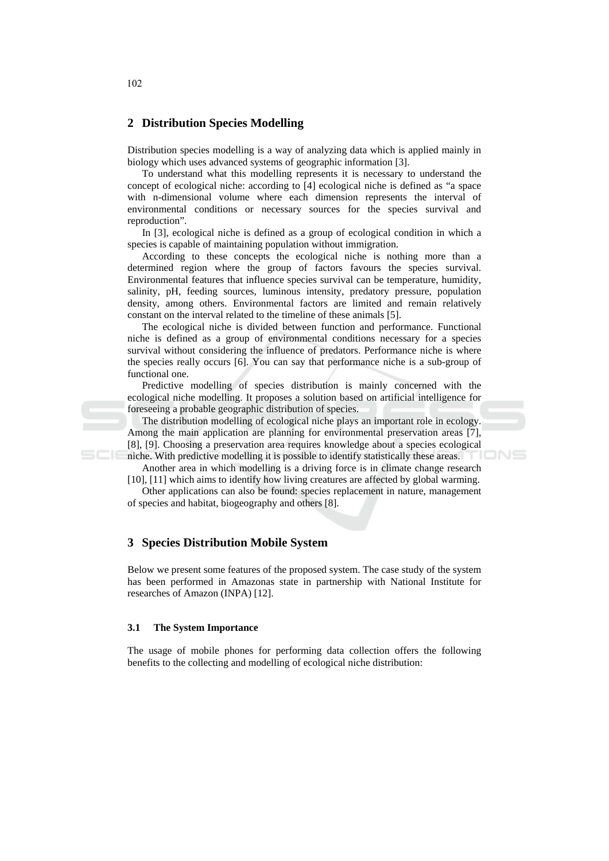## 2 Distribution Species Modelling

Distribution species modelling is a way of analyzing data which is applied mainly in biology which uses advanced systems of geographic information [3].

To understand what this modelling represents it is necessary to understand the concept of ecological niche: according to [4] ecological niche is defined as "a space with n-dimensional volume where each dimension represents the interval of environmental conditions or necessary sources for the species survival and reproduction".

In [3], ecological niche is defined as a group of ecological condition in which a species is capable of maintaining population without immigration.

According to these concepts the ecological niche is nothing more than a determined region where the group of factors favours the species survival. Environmental features that influence species survival can be temperature, humidity, salinity, pH, feeding sources, luminous intensity, predatory pressure, population density, among others. Environmental factors are limited and remain relatively constant on the interval related to the timeline of these animals [5].

The ecological niche is divided between function and performance. Functional niche is defined as a group of environmental conditions necessary for a species survival without considering the influence of predators. Performance niche is where the species really occurs [6]. You can say that performance niche is a sub-group of functional one.

Predictive modelling of species distribution is mainly concerned with the ecological niche modelling. It proposes a solution based on artificial intelligence for foreseeing a probable geographic distribution of species.

The distribution modelling of ecological niche plays an important role in ecology. Among the main application are planning for environmental preservation areas [7], [8], [9]. Choosing a preservation area requires knowledge about a species ecological TIONS niche. With predictive modelling it is possible to identify statistically these areas.

Another area in which modelling is a driving force is in climate change research [10], [11] which aims to identify how living creatures are affected by global warming.

Other applications can also be found: species replacement in nature, management of species and habitat, biogeography and others [8].

# **3** Species Distribution Mobile System

Below we present some features of the proposed system. The case study of the system has been performed in Amazonas state in partnership with National Institute for researches of Amazon (INPA) [12].

#### $3.1$ **The System Importance**

The usage of mobile phones for performing data collection offers the following benefits to the collecting and modelling of ecological niche distribution:

102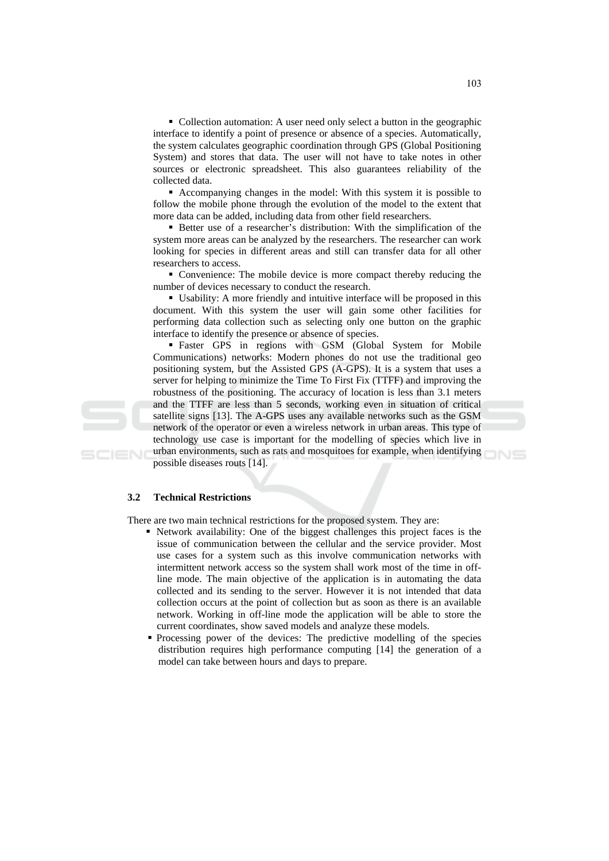• Collection automation: A user need only select a button in the geographic interface to identify a point of presence or absence of a species. Automatically, the system calculates geographic coordination through GPS (Global Positioning System) and stores that data. The user will not have to take notes in other sources or electronic spreadsheet. This also guarantees reliability of the collected data.

• Accompanying changes in the model: With this system it is possible to follow the mobile phone through the evolution of the model to the extent that more data can be added, including data from other field researchers.

• Better use of a researcher's distribution: With the simplification of the system more areas can be analyzed by the researchers. The researcher can work looking for species in different areas and still can transfer data for all other researchers to access.

• Convenience: The mobile device is more compact thereby reducing the number of devices necessary to conduct the research.

• Usability: A more friendly and intuitive interface will be proposed in this document. With this system the user will gain some other facilities for performing data collection such as selecting only one button on the graphic interface to identify the presence or absence of species.

· Faster GPS in regions with GSM (Global System for Mobile Communications) networks: Modern phones do not use the traditional geo positioning system, but the Assisted GPS (A-GPS). It is a system that uses a server for helping to minimize the Time To First Fix (TTFF) and improving the robustness of the positioning. The accuracy of location is less than 3.1 meters and the TTFF are less than 5 seconds, working even in situation of critical satellite signs [13]. The A-GPS uses any available networks such as the GSM network of the operator or even a wireless network in urban areas. This type of technology use case is important for the modelling of species which live in urban environments, such as rats and mosquitoes for example, when identifying possible diseases routs [14].

#### $3.2$ **Technical Restrictions**

There are two main technical restrictions for the proposed system. They are:

- Retwork availability: One of the biggest challenges this project faces is the issue of communication between the cellular and the service provider. Most use cases for a system such as this involve communication networks with intermittent network access so the system shall work most of the time in offline mode. The main objective of the application is in automating the data collected and its sending to the server. However it is not intended that data collection occurs at the point of collection but as soon as there is an available network. Working in off-line mode the application will be able to store the current coordinates, show saved models and analyze these models.
- Processing power of the devices: The predictive modelling of the species distribution requires high performance computing [14] the generation of a model can take between hours and days to prepare.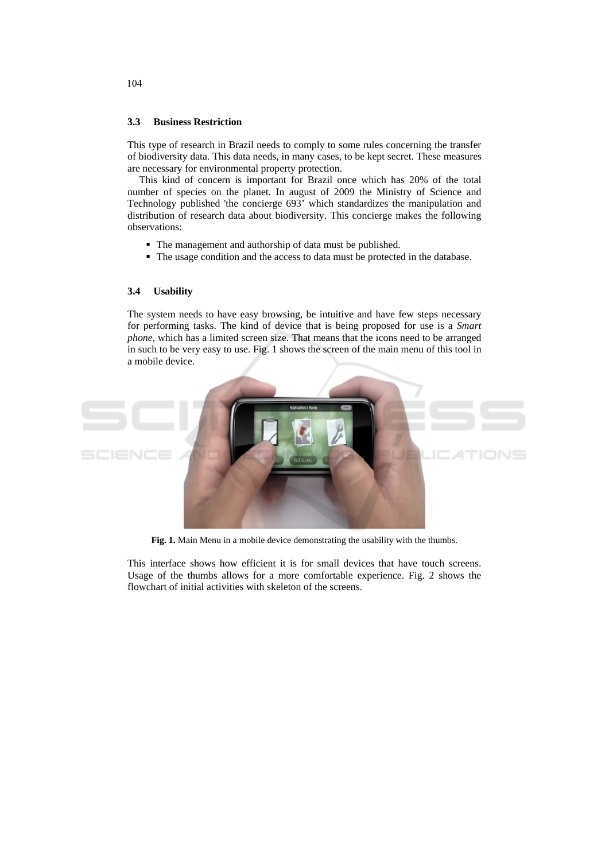#### $3.3$ **Business Restriction**

This type of research in Brazil needs to comply to some rules concerning the transfer of biodiversity data. This data needs, in many cases, to be kept secret. These measures are necessary for environmental property protection.

This kind of concern is important for Brazil once which has 20% of the total number of species on the planet. In august of 2009 the Ministry of Science and Technology published 'the concierge 693' which standardizes the manipulation and distribution of research data about biodiversity. This concierge makes the following observations:

- The management and authorship of data must be published.
- The usage condition and the access to data must be protected in the database.

#### $3.4$ **Usability**

The system needs to have easy browsing, be intuitive and have few steps necessary for performing tasks. The kind of device that is being proposed for use is a Smart *phone*, which has a limited screen size. That means that the icons need to be arranged in such to be very easy to use. Fig. 1 shows the screen of the main menu of this tool in a mobile device.



Fig. 1. Main Menu in a mobile device demonstrating the usability with the thumbs.

This interface shows how efficient it is for small devices that have touch screens. Usage of the thumbs allows for a more comfortable experience. Fig. 2 shows the flowchart of initial activities with skeleton of the screens.

104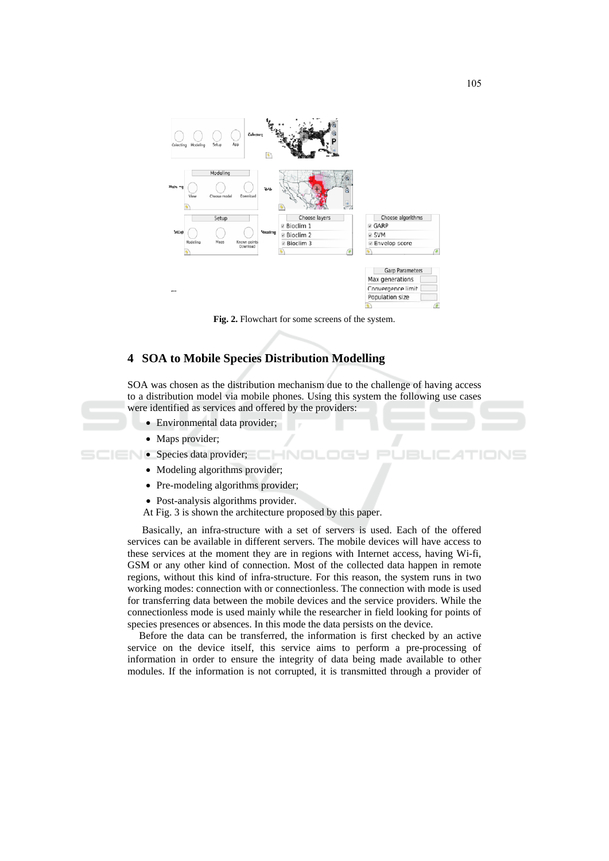

Fig. 2. Flowchart for some screens of the system.

# 4 SOA to Mobile Species Distribution Modelling

SOA was chosen as the distribution mechanism due to the challenge of having access to a distribution model via mobile phones. Using this system the following use cases were identified as services and offered by the providers:

- Environmental data provider;
- Maps provider;

### Species data provider;

- Modeling algorithms provider;
- Pre-modeling algorithms provider;
- Post-analysis algorithms provider.
- At Fig. 3 is shown the architecture proposed by this paper.

Basically, an infra-structure with a set of servers is used. Each of the offered services can be available in different servers. The mobile devices will have access to these services at the moment they are in regions with Internet access, having Wi-fi, GSM or any other kind of connection. Most of the collected data happen in remote regions, without this kind of infra-structure. For this reason, the system runs in two working modes: connection with or connectionless. The connection with mode is used for transferring data between the mobile devices and the service providers. While the connectionless mode is used mainly while the researcher in field looking for points of species presences or absences. In this mode the data persists on the device.

Before the data can be transferred, the information is first checked by an active service on the device itself, this service aims to perform a pre-processing of information in order to ensure the integrity of data being made available to other modules. If the information is not corrupted, it is transmitted through a provider of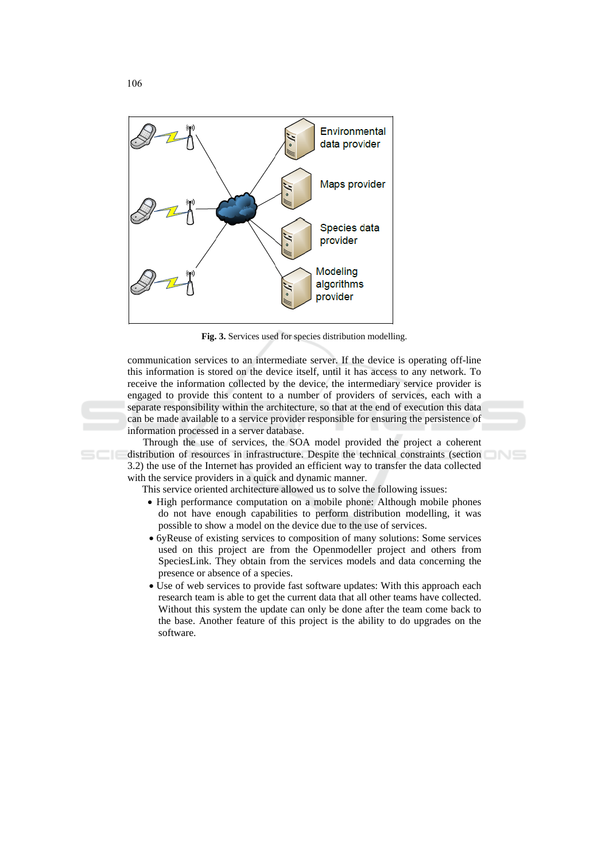

Fig. 3. Services used for species distribution modelling.

communication services to an intermediate server. If the device is operating off-line this information is stored on the device itself, until it has access to any network. To receive the information collected by the device, the intermediary service provider is engaged to provide this content to a number of providers of services, each with a separate responsibility within the architecture, so that at the end of execution this data can be made available to a service provider responsible for ensuring the persistence of information processed in a server database.

Through the use of services, the SOA model provided the project a coherent distribution of resources in infrastructure. Despite the technical constraints (section 3.2) the use of the Internet has provided an efficient way to transfer the data collected with the service providers in a quick and dynamic manner.

This service oriented architecture allowed us to solve the following issues:

- High performance computation on a mobile phone: Although mobile phones do not have enough capabilities to perform distribution modelling, it was possible to show a model on the device due to the use of services.
- 6yReuse of existing services to composition of many solutions: Some services used on this project are from the Openmodeller project and others from SpeciesLink. They obtain from the services models and data concerning the presence or absence of a species.
- Use of web services to provide fast software updates: With this approach each research team is able to get the current data that all other teams have collected. Without this system the update can only be done after the team come back to the base. Another feature of this project is the ability to do upgrades on the software.